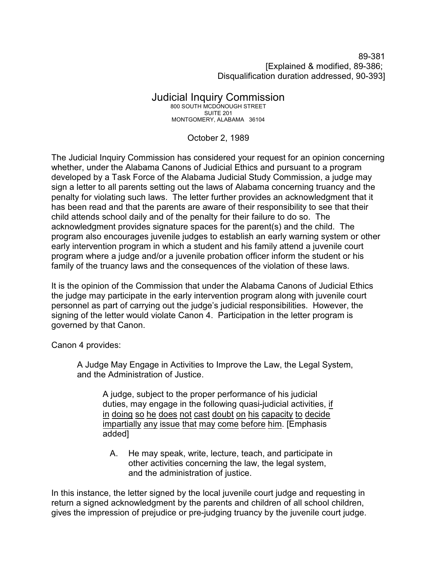89-381 [Explained & modified, 89-386; Disqualification duration addressed, 90-393]

## Judicial Inquiry Commission

800 SOUTH MCDONOUGH STREET SUITE 201 MONTGOMERY, ALABAMA 36104

October 2, 1989

The Judicial Inquiry Commission has considered your request for an opinion concerning whether, under the Alabama Canons of Judicial Ethics and pursuant to a program developed by a Task Force of the Alabama Judicial Study Commission, a judge may sign a letter to all parents setting out the laws of Alabama concerning truancy and the penalty for violating such laws. The letter further provides an acknowledgment that it has been read and that the parents are aware of their responsibility to see that their child attends school daily and of the penalty for their failure to do so. The acknowledgment provides signature spaces for the parent(s) and the child. The program also encourages juvenile judges to establish an early warning system or other early intervention program in which a student and his family attend a juvenile court program where a judge and/or a juvenile probation officer inform the student or his family of the truancy laws and the consequences of the violation of these laws.

It is the opinion of the Commission that under the Alabama Canons of Judicial Ethics the judge may participate in the early intervention program along with juvenile court personnel as part of carrying out the judge's judicial responsibilities. However, the signing of the letter would violate Canon 4. Participation in the letter program is governed by that Canon.

Canon 4 provides:

A Judge May Engage in Activities to Improve the Law, the Legal System, and the Administration of Justice.

A judge, subject to the proper performance of his judicial duties, may engage in the following quasi-judicial activities, if in doing so he does not cast doubt on his capacity to decide impartially any issue that may come before him. [Emphasis added]

 A. He may speak, write, lecture, teach, and participate in other activities concerning the law, the legal system, and the administration of justice.

In this instance, the letter signed by the local juvenile court judge and requesting in return a signed acknowledgment by the parents and children of all school children, gives the impression of prejudice or pre-judging truancy by the juvenile court judge.